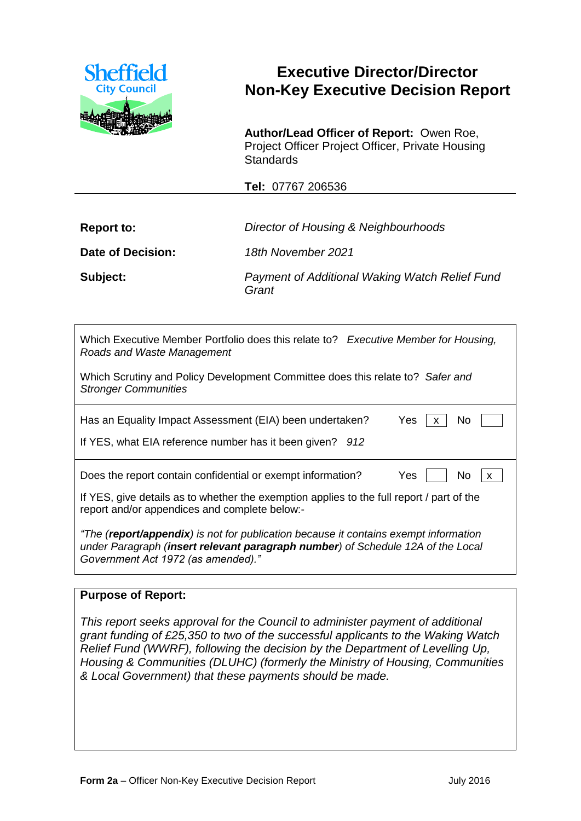

# **Executive Director/Director Non-Key Executive Decision Report**

**Author/Lead Officer of Report:** Owen Roe, Project Officer Project Officer, Private Housing **Standards** 

**Tel:** 07767 206536

| <b>Report to:</b> | Director of Housing & Neighbourhoods                    |  |
|-------------------|---------------------------------------------------------|--|
| Date of Decision: | 18th November 2021                                      |  |
| Subject:          | Payment of Additional Waking Watch Relief Fund<br>Grant |  |

| Which Executive Member Portfolio does this relate to? Executive Member for Housing,<br>Roads and Waste Management                                                                                             |  |  |  |  |
|---------------------------------------------------------------------------------------------------------------------------------------------------------------------------------------------------------------|--|--|--|--|
| Which Scrutiny and Policy Development Committee does this relate to? Safer and<br><b>Stronger Communities</b>                                                                                                 |  |  |  |  |
| Yes<br>N <sub>o</sub><br>Has an Equality Impact Assessment (EIA) been undertaken?<br>If YES, what EIA reference number has it been given? 912                                                                 |  |  |  |  |
| Does the report contain confidential or exempt information?<br>Yes<br>No.<br>$\mathsf{X}$                                                                                                                     |  |  |  |  |
| If YES, give details as to whether the exemption applies to the full report / part of the<br>report and/or appendices and complete below:-                                                                    |  |  |  |  |
| "The (report/appendix) is not for publication because it contains exempt information<br>under Paragraph (insert relevant paragraph number) of Schedule 12A of the Local<br>Government Act 1972 (as amended)." |  |  |  |  |

### **Purpose of Report:**

*This report seeks approval for the Council to administer payment of additional grant funding of £25,350 to two of the successful applicants to the Waking Watch Relief Fund (WWRF), following the decision by the Department of Levelling Up, Housing & Communities (DLUHC) (formerly the Ministry of Housing, Communities & Local Government) that these payments should be made.*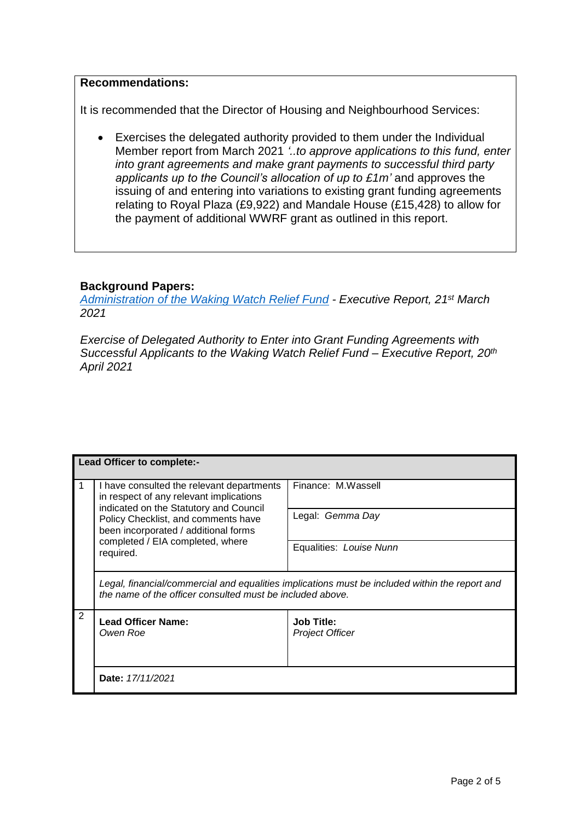#### **Recommendations:**

It is recommended that the Director of Housing and Neighbourhood Services:

 Exercises the delegated authority provided to them under the Individual Member report from March 2021 *'..to approve applications to this fund, enter into grant agreements and make grant payments to successful third party applicants up to the Council's allocation of up to £1m'* and approves the issuing of and entering into variations to existing grant funding agreements relating to Royal Plaza (£9,922) and Mandale House (£15,428) to allow for the payment of additional WWRF grant as outlined in this report.

### **Background Papers:**

*Administration of the Waking [Watch Relief Fund](https://democracy.sheffield.gov.uk/documents/s43833/Form%202%20-%20Executive%20Report%20WWRF.pdf) - Executive Report, 21st March 2021*

*Exercise of Delegated Authority to Enter into Grant Funding Agreements with Successful Applicants to the Waking Watch Relief Fund – Executive Report, 20th April 2021*

| Lead Officer to complete:- |                                                                                                                                                                                                                                                                |                                             |  |
|----------------------------|----------------------------------------------------------------------------------------------------------------------------------------------------------------------------------------------------------------------------------------------------------------|---------------------------------------------|--|
|                            | I have consulted the relevant departments<br>in respect of any relevant implications<br>indicated on the Statutory and Council<br>Policy Checklist, and comments have<br>been incorporated / additional forms<br>completed / EIA completed, where<br>required. | Finance: M.Wassell                          |  |
|                            |                                                                                                                                                                                                                                                                | Legal: Gemma Day                            |  |
|                            |                                                                                                                                                                                                                                                                | Equalities: Louise Nunn                     |  |
|                            | Legal, financial/commercial and equalities implications must be included within the report and<br>the name of the officer consulted must be included above.                                                                                                    |                                             |  |
| 2                          | <b>Lead Officer Name:</b><br>Owen Roe                                                                                                                                                                                                                          | <b>Job Title:</b><br><b>Project Officer</b> |  |
|                            | Date: 17/11/2021                                                                                                                                                                                                                                               |                                             |  |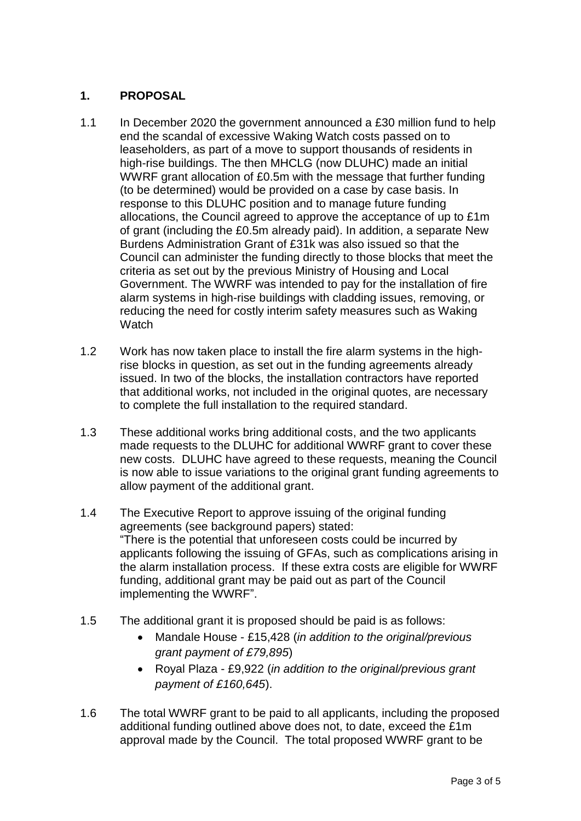## **1. PROPOSAL**

- 1.1 In December 2020 the government announced a £30 million fund to help end the scandal of excessive Waking Watch costs passed on to leaseholders, as part of a move to support thousands of residents in high-rise buildings. The then MHCLG (now DLUHC) made an initial WWRF grant allocation of £0.5m with the message that further funding (to be determined) would be provided on a case by case basis. In response to this DLUHC position and to manage future funding allocations, the Council agreed to approve the acceptance of up to £1m of grant (including the £0.5m already paid). In addition, a separate New Burdens Administration Grant of £31k was also issued so that the Council can administer the funding directly to those blocks that meet the criteria as set out by the previous Ministry of Housing and Local Government. The WWRF was intended to pay for the installation of fire alarm systems in high-rise buildings with cladding issues, removing, or reducing the need for costly interim safety measures such as Waking **Watch**
- 1.2 Work has now taken place to install the fire alarm systems in the highrise blocks in question, as set out in the funding agreements already issued. In two of the blocks, the installation contractors have reported that additional works, not included in the original quotes, are necessary to complete the full installation to the required standard.
- 1.3 These additional works bring additional costs, and the two applicants made requests to the DLUHC for additional WWRF grant to cover these new costs. DLUHC have agreed to these requests, meaning the Council is now able to issue variations to the original grant funding agreements to allow payment of the additional grant.
- 1.4 The Executive Report to approve issuing of the original funding agreements (see background papers) stated: "There is the potential that unforeseen costs could be incurred by applicants following the issuing of GFAs, such as complications arising in the alarm installation process. If these extra costs are eligible for WWRF funding, additional grant may be paid out as part of the Council implementing the WWRF".
- 1.5 The additional grant it is proposed should be paid is as follows:
	- Mandale House £15,428 (*in addition to the original/previous grant payment of £79,895*)
	- Royal Plaza £9,922 (*in addition to the original/previous grant payment of £160,645*).
- 1.6 The total WWRF grant to be paid to all applicants, including the proposed additional funding outlined above does not, to date, exceed the £1m approval made by the Council. The total proposed WWRF grant to be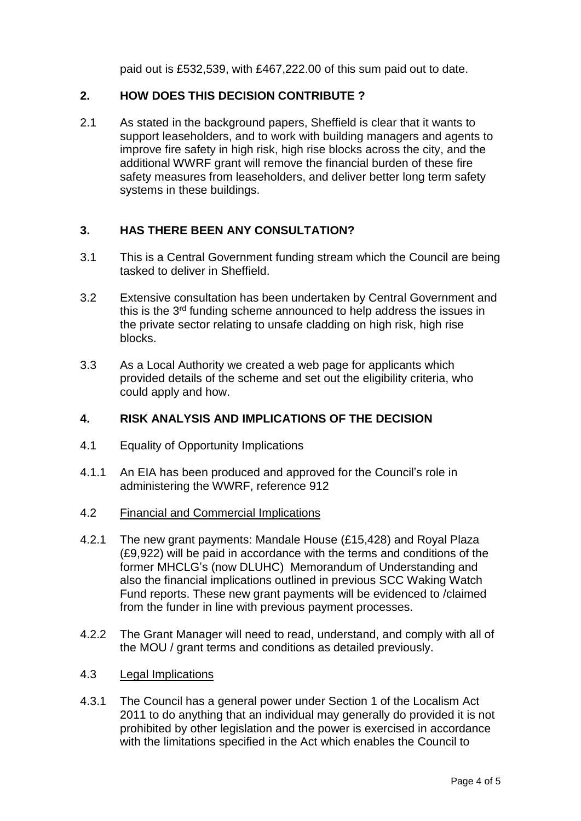paid out is £532,539, with £467,222.00 of this sum paid out to date.

### **2. HOW DOES THIS DECISION CONTRIBUTE ?**

2.1 As stated in the background papers, Sheffield is clear that it wants to support leaseholders, and to work with building managers and agents to improve fire safety in high risk, high rise blocks across the city, and the additional WWRF grant will remove the financial burden of these fire safety measures from leaseholders, and deliver better long term safety systems in these buildings.

## **3. HAS THERE BEEN ANY CONSULTATION?**

- 3.1 This is a Central Government funding stream which the Council are being tasked to deliver in Sheffield.
- 3.2 Extensive consultation has been undertaken by Central Government and this is the 3<sup>rd</sup> funding scheme announced to help address the issues in the private sector relating to unsafe cladding on high risk, high rise blocks.
- 3.3 As a Local Authority we created a web page for applicants which provided details of the scheme and set out the eligibility criteria, who could apply and how.

### **4. RISK ANALYSIS AND IMPLICATIONS OF THE DECISION**

- 4.1 Equality of Opportunity Implications
- 4.1.1 An EIA has been produced and approved for the Council's role in administering the WWRF, reference 912
- 4.2 Financial and Commercial Implications
- 4.2.1 The new grant payments: Mandale House (£15,428) and Royal Plaza (£9,922) will be paid in accordance with the terms and conditions of the former MHCLG's (now DLUHC) Memorandum of Understanding and also the financial implications outlined in previous SCC Waking Watch Fund reports. These new grant payments will be evidenced to /claimed from the funder in line with previous payment processes.
- 4.2.2 The Grant Manager will need to read, understand, and comply with all of the MOU / grant terms and conditions as detailed previously.
- 4.3 Legal Implications
- 4.3.1 The Council has a general power under Section 1 of the Localism Act 2011 to do anything that an individual may generally do provided it is not prohibited by other legislation and the power is exercised in accordance with the limitations specified in the Act which enables the Council to